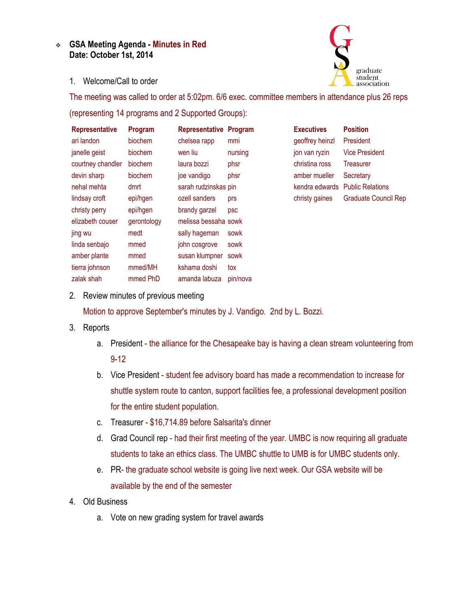## **GSA Meeting Agenda - Minutes in Red Date: October 1st, 2014**



1. Welcome/Call to order

The meeting was called to order at 5:02pm. 6/6 exec. committee members in attendance plus 26 reps (representing 14 programs and 2 Supported Groups):

| <b>Representative</b> | Program     | <b>Representative Program</b> |          | <b>Executives</b> | <b>Position</b>             |
|-----------------------|-------------|-------------------------------|----------|-------------------|-----------------------------|
| ari landon            | biochem     | chelsea rapp                  | mmi      | geoffrey heinzl   | President                   |
| janelle geist         | biochem     | wen liu                       | nursing  | jon van ryzin     | <b>Vice President</b>       |
| courtney chandler     | biochem     | laura bozzi                   | phsr     | christina ross    | Treasurer                   |
| devin sharp           | biochem     | joe vandigo                   | phsr     | amber mueller     | Secretary                   |
| nehal mehta           | dmrt        | sarah rudzinskas pin          |          | kendra edwards    | <b>Public Relations</b>     |
| lindsay croft         | epi/hgen    | ozell sanders                 | prs      | christy gaines    | <b>Graduate Council Rep</b> |
| christy perry         | epi/hgen    | brandy garzel                 | psc      |                   |                             |
| elizabeth couser      | gerontology | melissa bessaha sowk          |          |                   |                             |
| jing wu               | medt        | sally hageman                 | sowk     |                   |                             |
| linda senbajo         | mmed        | john cosgrove                 | sowk     |                   |                             |
| amber plante          | mmed        | susan klumpner                | sowk     |                   |                             |
| tierra johnson        | mmed/MH     | kshama doshi                  | tox      |                   |                             |
| zalak shah            | mmed PhD    | amanda labuza                 | pin/nova |                   |                             |

2. Review minutes of previous meeting

Motion to approve September's minutes by J. Vandigo. 2nd by L. Bozzi.

- 3. Reports
	- a. President the alliance for the Chesapeake bay is having a clean stream volunteering from 9-12
	- b. Vice President student fee advisory board has made a recommendation to increase for shuttle system route to canton, support facilities fee, a professional development position for the entire student population.
	- c. Treasurer \$16,714.89 before Salsarita's dinner
	- d. Grad Council rep had their first meeting of the year. UMBC is now requiring all graduate students to take an ethics class. The UMBC shuttle to UMB is for UMBC students only.
	- e. PR- the graduate school website is going live next week. Our GSA website will be available by the end of the semester
- 4. Old Business
	- a. Vote on new grading system for travel awards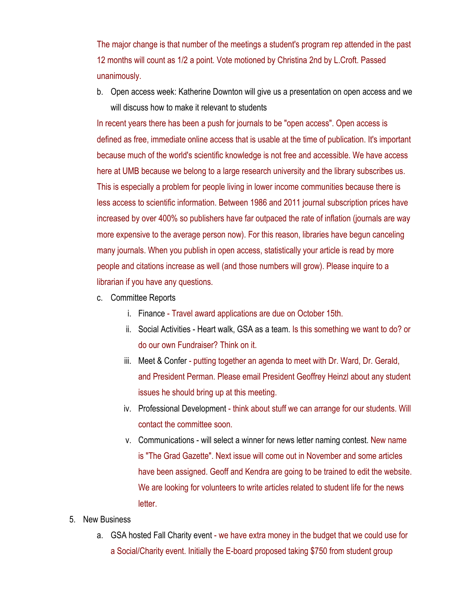The major change is that number of the meetings a student's program rep attended in the past 12 months will count as 1/2 a point. Vote motioned by Christina 2nd by L.Croft. Passed unanimously.

b. Open access week: Katherine Downton will give us a presentation on open access and we will discuss how to make it relevant to students

In recent years there has been a push for journals to be "open access". Open access is defined as free, immediate online access that is usable at the time of publication. It's important because much of the world's scientific knowledge is not free and accessible. We have access here at UMB because we belong to a large research university and the library subscribes us. This is especially a problem for people living in lower income communities because there is less access to scientific information. Between 1986 and 2011 journal subscription prices have increased by over 400% so publishers have far outpaced the rate of inflation (journals are way more expensive to the average person now). For this reason, libraries have begun canceling many journals. When you publish in open access, statistically your article is read by more people and citations increase as well (and those numbers will grow). Please inquire to a librarian if you have any questions.

- c. Committee Reports
	- i. Finance Travel award applications are due on October 15th.
	- ii. Social Activities Heart walk, GSA as a team. Is this something we want to do? or do our own Fundraiser? Think on it.
	- iii. Meet & Confer putting together an agenda to meet with Dr. Ward, Dr. Gerald, and President Perman. Please email President Geoffrey Heinzl about any student issues he should bring up at this meeting.
	- iv. Professional Development think about stuff we can arrange for our students. Will contact the committee soon.
	- v. Communications will select a winner for news letter naming contest. New name is "The Grad Gazette". Next issue will come out in November and some articles have been assigned. Geoff and Kendra are going to be trained to edit the website. We are looking for volunteers to write articles related to student life for the news letter.
- 5. New Business
	- a. GSA hosted Fall Charity event we have extra money in the budget that we could use for a Social/Charity event. Initially the E-board proposed taking \$750 from student group